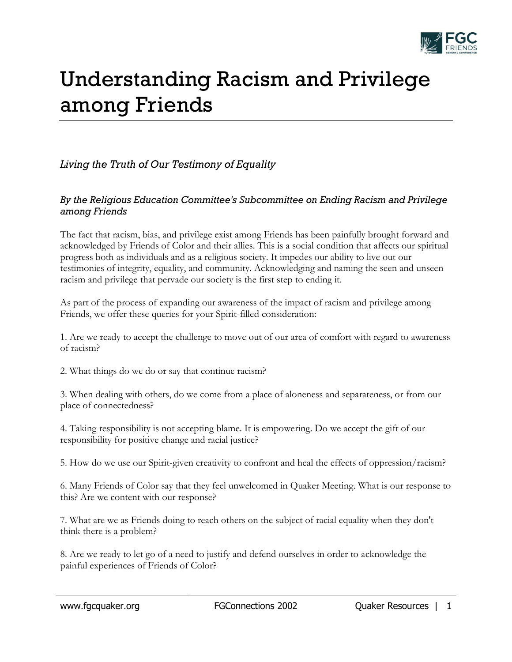

## Understanding Racism and Privilege among Friends

## *Living the Truth of Our Testimony of Equality*

## *By the Religious Education Committee's Subcommittee on Ending Racism and Privilege among Friends*

The fact that racism, bias, and privilege exist among Friends has been painfully brought forward and acknowledged by Friends of Color and their allies. This is a social condition that affects our spiritual progress both as individuals and as a religious society. It impedes our ability to live out our testimonies of integrity, equality, and community. Acknowledging and naming the seen and unseen racism and privilege that pervade our society is the first step to ending it.

As part of the process of expanding our awareness of the impact of racism and privilege among Friends, we offer these queries for your Spirit-filled consideration:

1. Are we ready to accept the challenge to move out of our area of comfort with regard to awareness of racism?

2. What things do we do or say that continue racism?

3. When dealing with others, do we come from a place of aloneness and separateness, or from our place of connectedness?

4. Taking responsibility is not accepting blame. It is empowering. Do we accept the gift of our responsibility for positive change and racial justice?

5. How do we use our Spirit-given creativity to confront and heal the effects of oppression/racism?

6. Many Friends of Color say that they feel unwelcomed in Quaker Meeting. What is our response to this? Are we content with our response?

7. What are we as Friends doing to reach others on the subject of racial equality when they don't think there is a problem?

8. Are we ready to let go of a need to justify and defend ourselves in order to acknowledge the painful experiences of Friends of Color?